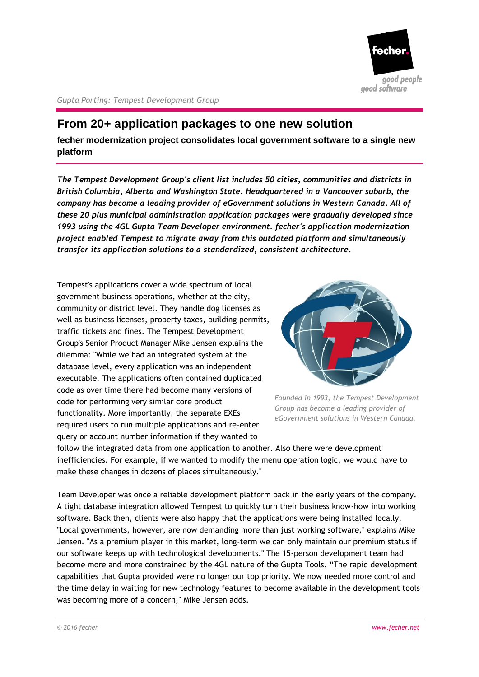

*Gupta Porting: Tempest Development Group*

# **From 20+ application packages to one new solution**

**fecher modernization project consolidates local government software to a single new platform**

*The Tempest Development Group's client list includes 50 cities, communities and districts in British Columbia, Alberta and Washington State. Headquartered in a Vancouver suburb, the company has become a leading provider of eGovernment solutions in Western Canada. All of these 20 plus municipal administration application packages were gradually developed since 1993 using the 4GL Gupta Team Developer environment. fecher's application modernization project enabled Tempest to migrate away from this outdated platform and simultaneously transfer its application solutions to a standardized, consistent architecture.*

Tempest's applications cover a wide spectrum of local government business operations, whether at the city, community or district level. They handle dog licenses as well as business licenses, property taxes, building permits, traffic tickets and fines. The Tempest Development Group's Senior Product Manager Mike Jensen explains the dilemma: "While we had an integrated system at the database level, every application was an independent executable. The applications often contained duplicated code as over time there had become many versions of code for performing very similar core product functionality. More importantly, the separate EXEs required users to run multiple applications and re-enter query or account number information if they wanted to



*Founded in 1993, the Tempest Development Group has become a leading provider of eGovernment solutions in Western Canada.*

follow the integrated data from one application to another. Also there were development inefficiencies. For example, if we wanted to modify the menu operation logic, we would have to make these changes in dozens of places simultaneously."

Team Developer was once a reliable development platform back in the early years of the company. A tight database integration allowed Tempest to quickly turn their business know-how into working software. Back then, clients were also happy that the applications were being installed locally. "Local governments, however, are now demanding more than just working software," explains Mike Jensen. "As a premium player in this market, long-term we can only maintain our premium status if our software keeps up with technological developments." The 15-person development team had become more and more constrained by the 4GL nature of the Gupta Tools. "The rapid development capabilities that Gupta provided were no longer our top priority. We now needed more control and the time delay in waiting for new technology features to become available in the development tools was becoming more of a concern," Mike Jensen adds.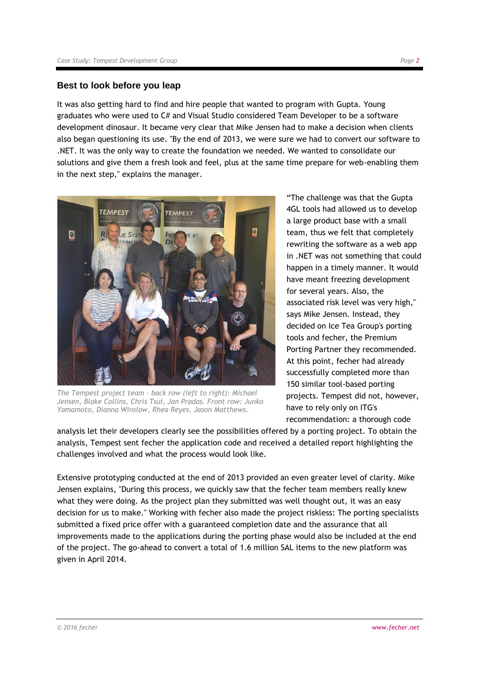## **Best to look before you leap**

It was also getting hard to find and hire people that wanted to program with Gupta. Young graduates who were used to C# and Visual Studio considered Team Developer to be a software development dinosaur. It became very clear that Mike Jensen had to make a decision when clients also began questioning its use. "By the end of 2013, we were sure we had to convert our software to .NET. It was the only way to create the foundation we needed. We wanted to consolidate our solutions and give them a fresh look and feel, plus at the same time prepare for web-enabling them in the next step," explains the manager.



*The Tempest project team – back row (left to right): Michael Jensen, Blake Collins, Chris Tsui, Jan Pradas. Front row: Junko Yamamoto, Dianna Winslow, Rhea Reyes, Jason Matthews.*

"The challenge was that the Gupta 4GL tools had allowed us to develop a large product base with a small team, thus we felt that completely rewriting the software as a web app in .NET was not something that could happen in a timely manner. It would have meant freezing development for several years. Also, the associated risk level was very high," says Mike Jensen. Instead, they decided on Ice Tea Group's porting tools and fecher, the Premium Porting Partner they recommended. At this point, fecher had already successfully completed more than 150 similar tool-based porting projects. Tempest did not, however, have to rely only on ITG's recommendation: a thorough code

analysis let their developers clearly see the possibilities offered by a porting project. To obtain the analysis, Tempest sent fecher the application code and received a detailed report highlighting the challenges involved and what the process would look like.

Extensive prototyping conducted at the end of 2013 provided an even greater level of clarity. Mike Jensen explains, "During this process, we quickly saw that the fecher team members really knew what they were doing. As the project plan they submitted was well thought out, it was an easy decision for us to make." Working with fecher also made the project riskless: The porting specialists submitted a fixed price offer with a guaranteed completion date and the assurance that all improvements made to the applications during the porting phase would also be included at the end of the project. The go-ahead to convert a total of 1.6 million SAL items to the new platform was given in April 2014.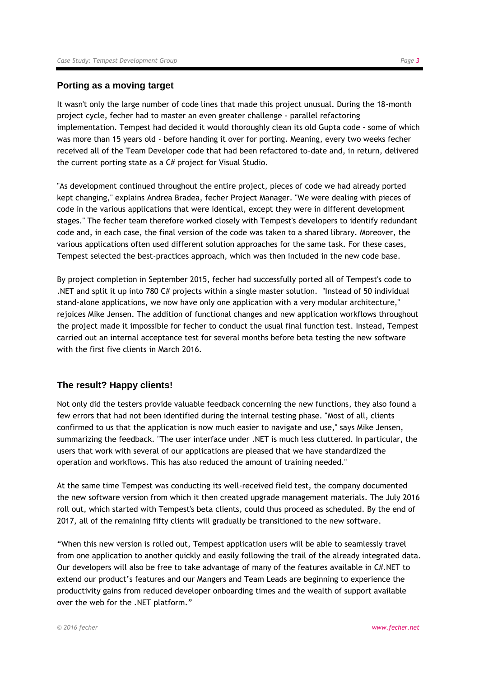### **Porting as a moving target**

It wasn't only the large number of code lines that made this project unusual. During the 18-month project cycle, fecher had to master an even greater challenge - parallel refactoring implementation. Tempest had decided it would thoroughly clean its old Gupta code - some of which was more than 15 years old - before handing it over for porting. Meaning, every two weeks fecher received all of the Team Developer code that had been refactored to-date and, in return, delivered the current porting state as a C# project for Visual Studio.

"As development continued throughout the entire project, pieces of code we had already ported kept changing," explains Andrea Bradea, fecher Project Manager. "We were dealing with pieces of code in the various applications that were identical, except they were in different development stages." The fecher team therefore worked closely with Tempest's developers to identify redundant code and, in each case, the final version of the code was taken to a shared library. Moreover, the various applications often used different solution approaches for the same task. For these cases, Tempest selected the best-practices approach, which was then included in the new code base.

By project completion in September 2015, fecher had successfully ported all of Tempest's code to .NET and split it up into 780 C# projects within a single master solution. "Instead of 50 individual stand-alone applications, we now have only one application with a very modular architecture," rejoices Mike Jensen. The addition of functional changes and new application workflows throughout the project made it impossible for fecher to conduct the usual final function test. Instead, Tempest carried out an internal acceptance test for several months before beta testing the new software with the first five clients in March 2016.

### **The result? Happy clients!**

Not only did the testers provide valuable feedback concerning the new functions, they also found a few errors that had not been identified during the internal testing phase. "Most of all, clients confirmed to us that the application is now much easier to navigate and use," says Mike Jensen, summarizing the feedback. "The user interface under .NET is much less cluttered. In particular, the users that work with several of our applications are pleased that we have standardized the operation and workflows. This has also reduced the amount of training needed."

At the same time Tempest was conducting its well-received field test, the company documented the new software version from which it then created upgrade management materials. The July 2016 roll out, which started with Tempest's beta clients, could thus proceed as scheduled. By the end of 2017, all of the remaining fifty clients will gradually be transitioned to the new software.

"When this new version is rolled out, Tempest application users will be able to seamlessly travel from one application to another quickly and easily following the trail of the already integrated data. Our developers will also be free to take advantage of many of the features available in C#.NET to extend our product's features and our Mangers and Team Leads are beginning to experience the productivity gains from reduced developer onboarding times and the wealth of support available over the web for the .NET platform."